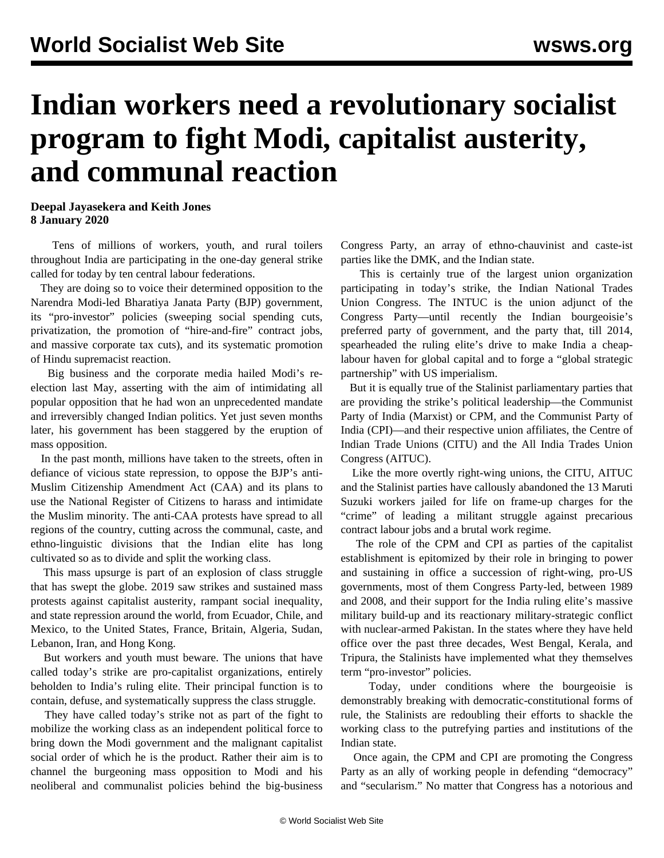## **Indian workers need a revolutionary socialist program to fight Modi, capitalist austerity, and communal reaction**

## **Deepal Jayasekera and Keith Jones 8 January 2020**

 Tens of millions of workers, youth, and rural toilers throughout India are participating in the one-day general strike called for today by ten central labour federations.

 They are doing so to voice their determined opposition to the Narendra Modi-led Bharatiya Janata Party (BJP) government, its "pro-investor" policies (sweeping social spending cuts, privatization, the promotion of "hire-and-fire" contract jobs, and massive corporate tax cuts), and its systematic promotion of Hindu supremacist reaction.

 Big business and the corporate media hailed Modi's reelection last May, asserting with the aim of intimidating all popular opposition that he had won an unprecedented mandate and irreversibly changed Indian politics. Yet just seven months later, his government has been staggered by the eruption of mass opposition.

 In the past month, millions have taken to the streets, often in defiance of vicious state repression, to oppose the BJP's anti-Muslim Citizenship Amendment Act (CAA) and its plans to use the National Register of Citizens to harass and intimidate the Muslim minority. The anti-CAA protests have spread to all regions of the country, cutting across the communal, caste, and ethno-linguistic divisions that the Indian elite has long cultivated so as to divide and split the working class.

 This mass upsurge is part of an explosion of class struggle that has swept the globe. 2019 saw strikes and sustained mass protests against capitalist austerity, rampant social inequality, and state repression around the world, from Ecuador, Chile, and Mexico, to the United States, France, Britain, Algeria, Sudan, Lebanon, Iran, and Hong Kong.

 But workers and youth must beware. The unions that have called today's strike are pro-capitalist organizations, entirely beholden to India's ruling elite. Their principal function is to contain, defuse, and systematically suppress the class struggle.

 They have called today's strike not as part of the fight to mobilize the working class as an independent political force to bring down the Modi government and the malignant capitalist social order of which he is the product. Rather their aim is to channel the burgeoning mass opposition to Modi and his neoliberal and communalist policies behind the big-business Congress Party, an array of ethno-chauvinist and caste-ist parties like the DMK, and the Indian state.

 This is certainly true of the largest union organization participating in today's strike, the Indian National Trades Union Congress. The INTUC is the union adjunct of the Congress Party—until recently the Indian bourgeoisie's preferred party of government, and the party that, till 2014, spearheaded the ruling elite's drive to make India a cheaplabour haven for global capital and to forge a "global strategic partnership" with US imperialism.

 But it is equally true of the Stalinist parliamentary parties that are providing the strike's political leadership—the Communist Party of India (Marxist) or CPM, and the Communist Party of India (CPI)—and their respective union affiliates, the Centre of Indian Trade Unions (CITU) and the All India Trades Union Congress (AITUC).

 Like the more overtly right-wing unions, the CITU, AITUC and the Stalinist parties have callously abandoned the 13 Maruti Suzuki workers jailed for life on frame-up charges for the "crime" of leading a militant struggle against precarious contract labour jobs and a brutal work regime.

 The role of the CPM and CPI as parties of the capitalist establishment is epitomized by their role in bringing to power and sustaining in office a succession of right-wing, pro-US governments, most of them Congress Party-led, between 1989 and 2008, and their support for the India ruling elite's massive military build-up and its reactionary military-strategic conflict with nuclear-armed Pakistan. In the states where they have held office over the past three decades, West Bengal, Kerala, and Tripura, the Stalinists have implemented what they themselves term "pro-investor" policies.

 Today, under conditions where the bourgeoisie is demonstrably breaking with democratic-constitutional forms of rule, the Stalinists are redoubling their efforts to shackle the working class to the putrefying parties and institutions of the Indian state.

 Once again, the CPM and CPI are promoting the Congress Party as an ally of working people in defending "democracy" and "secularism." No matter that Congress has a notorious and